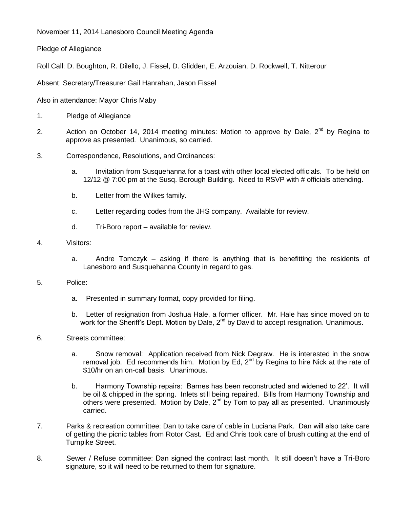November 11, 2014 Lanesboro Council Meeting Agenda

Pledge of Allegiance

Roll Call: D. Boughton, R. Dilello, J. Fissel, D. Glidden, E. Arzouian, D. Rockwell, T. Nitterour

Absent: Secretary/Treasurer Gail Hanrahan, Jason Fissel

Also in attendance: Mayor Chris Maby

- 1. Pledge of Allegiance
- 2. Action on October 14, 2014 meeting minutes: Motion to approve by Dale, 2<sup>nd</sup> by Regina to approve as presented. Unanimous, so carried.
- 3. Correspondence, Resolutions, and Ordinances:
	- a. Invitation from Susquehanna for a toast with other local elected officials. To be held on 12/12 @ 7:00 pm at the Susq. Borough Building. Need to RSVP with # officials attending.
	- b. Letter from the Wilkes family.
	- c. Letter regarding codes from the JHS company. Available for review.
	- d. Tri-Boro report available for review.
- 4. Visitors:
	- a. Andre Tomczyk asking if there is anything that is benefitting the residents of Lanesboro and Susquehanna County in regard to gas.
- 5. Police:
	- a. Presented in summary format, copy provided for filing.
	- b. Letter of resignation from Joshua Hale, a former officer. Mr. Hale has since moved on to work for the Sheriff's Dept. Motion by Dale, 2<sup>nd</sup> by David to accept resignation. Unanimous.
- 6. Streets committee:
	- a. Snow removal: Application received from Nick Degraw. He is interested in the snow removal job. Ed recommends him. Motion by Ed,  $2^{nd}$  by Regina to hire Nick at the rate of \$10/hr on an on-call basis. Unanimous.
	- b. Harmony Township repairs: Barnes has been reconstructed and widened to 22'. It will be oil & chipped in the spring. Inlets still being repaired. Bills from Harmony Township and others were presented. Motion by Dale, 2<sup>nd</sup> by Tom to pay all as presented. Unanimously carried.
- 7. Parks & recreation committee: Dan to take care of cable in Luciana Park. Dan will also take care of getting the picnic tables from Rotor Cast. Ed and Chris took care of brush cutting at the end of Turnpike Street.
- 8. Sewer / Refuse committee: Dan signed the contract last month. It still doesn't have a Tri-Boro signature, so it will need to be returned to them for signature.